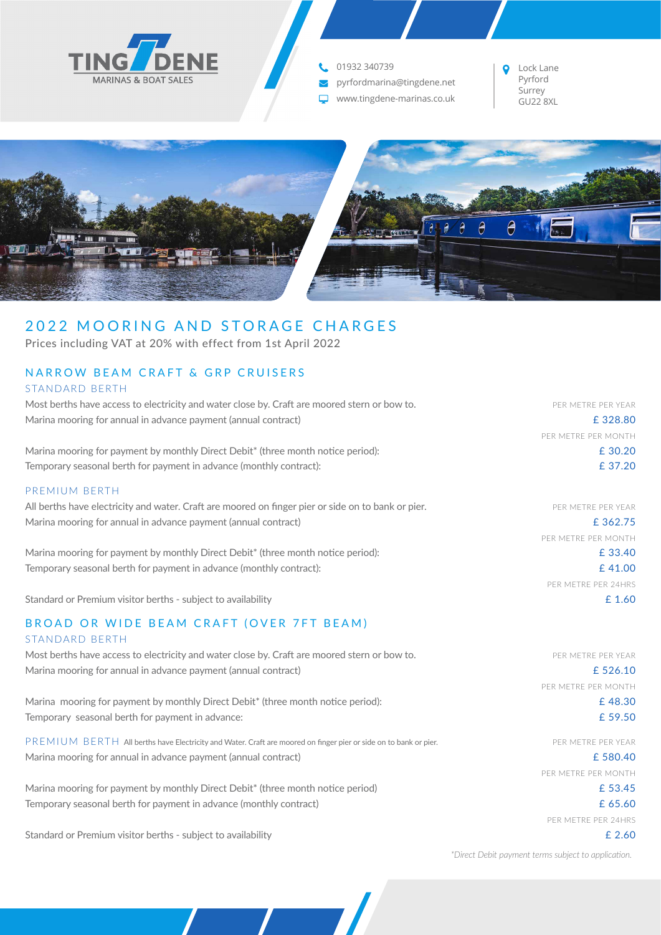

01932 340739

pyrfordmarina@tingdene.net  $\blacktriangledown$ 

Surrey www.tingdene-marinas.co.uk GU22 8XL

Lock Lane Pyrford



# 2022 MOORING AND STORAGE CHARGES

Prices including VAT at 20% with effect from 1st April 2022

## NARROW BEAM CRAFT & GRP CRUISERS

STANDARD BERTH

Most berths have access to electricity and water close by. Craft are moored stern or bow to. PER METRE PER YEAR Marina mooring for annual in advance payment (annual contract) **E** 328.80

Marina mooring for payment by monthly Direct Debit\* (three month notice period): E 30.20 Temporary seasonal berth for payment in advance (monthly contract):  $\epsilon$  37.20

#### PREMIUM BERTH

All berths have electricity and water. Craft are moored on finger pier or side on to bank or pier. PER METRE PER YEAR Marina mooring for annual in advance payment (annual contract) example and the state of the state of the state of  $\pm 362.75$ 

Marina mooring for payment by monthly Direct Debit\* (three month notice period): E 33.40 Temporary seasonal berth for payment in advance (monthly contract):  $\epsilon$  41.00

Standard or Premium visitor berths - subject to availability **E** 1.60

### BROAD OR WIDE BEAM CRAFT (OVER 7FT BEAM) STANDARD BERTH

Most berths have access to electricity and water close by. Craft are moored stern or bow to. PER METRE PER YEAR Marina mooring for annual in advance payment (annual contract) example of the state of the state of the state of the state of the state of the state of the state of the state of the state of the state of the state of the s

Marina mooring for payment by monthly Direct Debit\* (three month notice period):  $\epsilon$  48.30 Temporary seasonal berth for payment in advance:  $\epsilon$  59.50

PREMIUM BERTH All berths have Electricity and Water. Craft are moored on finger pier or side on to bank or pier. PER METRE PER METRE PER YEAR Marina mooring for annual in advance payment (annual contract) example and the state of the state of the state of the state of the state of the state of the state of the state of the state of the state of the state of the

Marina mooring for payment by monthly Direct Debit\* (three month notice period)  $\epsilon$  53.45 Temporary seasonal berth for payment in advance (monthly contract) **E** 65.60

Standard or Premium visitor berths - subject to availability **Equal to a subject to availability Equal to a subject to availability Equal to a subject to availability Equal to a subject to availability Equal to a s** 

PER METRE PER MONTH

PER METRE PER MONTH

PER METRE PER 24HRS

PER METRE PER MONTH

PER METRE PER MONTH

PER METRE PER 24HRS

*\*Direct Debit payment terms subject to application.*